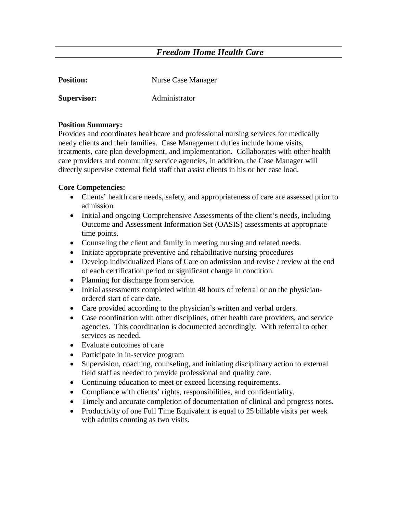# *Freedom Home Health Care*

| <b>Position:</b>   | Nurse Case Manager |
|--------------------|--------------------|
| <b>Supervisor:</b> | Administrator      |

#### **Position Summary:**

Provides and coordinates healthcare and professional nursing services for medically needy clients and their families. Case Management duties include home visits, treatments, care plan development, and implementation. Collaborates with other health care providers and community service agencies, in addition, the Case Manager will directly supervise external field staff that assist clients in his or her case load.

#### **Core Competencies:**

- Clients' health care needs, safety, and appropriateness of care are assessed prior to admission.
- Initial and ongoing Comprehensive Assessments of the client's needs, including Outcome and Assessment Information Set (OASIS) assessments at appropriate time points.
- Counseling the client and family in meeting nursing and related needs.
- Initiate appropriate preventive and rehabilitative nursing procedures
- Develop individualized Plans of Care on admission and revise / review at the end of each certification period or significant change in condition.
- Planning for discharge from service.
- Initial assessments completed within 48 hours of referral or on the physicianordered start of care date.
- Care provided according to the physician's written and verbal orders.
- Case coordination with other disciplines, other health care providers, and service agencies. This coordination is documented accordingly. With referral to other services as needed.
- Evaluate outcomes of care
- Participate in in-service program
- Supervision, coaching, counseling, and initiating disciplinary action to external field staff as needed to provide professional and quality care.
- Continuing education to meet or exceed licensing requirements.
- Compliance with clients' rights, responsibilities, and confidentiality.
- Timely and accurate completion of documentation of clinical and progress notes.
- Productivity of one Full Time Equivalent is equal to 25 billable visits per week with admits counting as two visits.